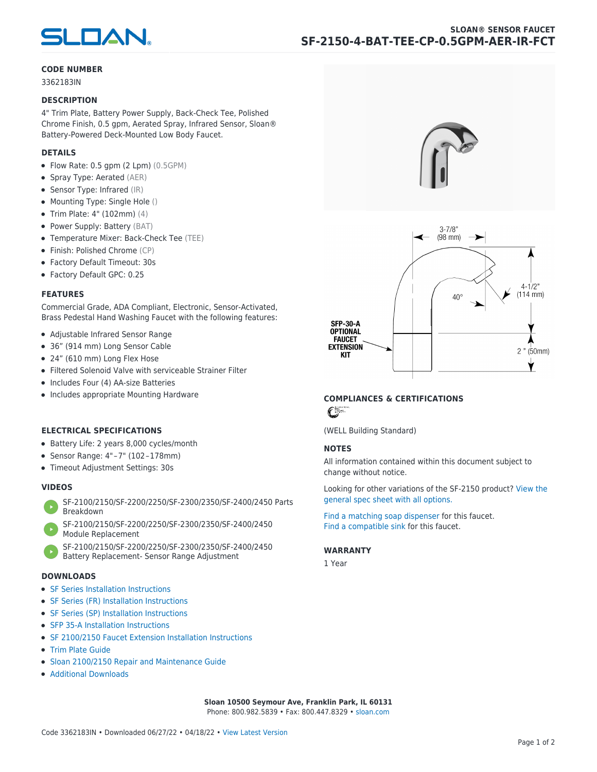

### **CODE NUMBER**

3362183IN

#### **DESCRIPTION**

4" Trim Plate, Battery Power Supply, Back-Check Tee, Polished Chrome Finish, 0.5 gpm, Aerated Spray, Infrared Sensor, Sloan® Battery-Powered Deck-Mounted Low Body Faucet.

# **DETAILS**

- Flow Rate: 0.5 gpm (2 Lpm) (0.5GPM)
- Spray Type: Aerated (AER)
- Sensor Type: Infrared (IR)
- Mounting Type: Single Hole ()
- Trim Plate: 4" (102mm) (4)
- Power Supply: Battery (BAT)
- Temperature Mixer: Back-Check Tee (TEE)
- Finish: Polished Chrome (CP)
- Factory Default Timeout: 30s
- Factory Default GPC: 0.25

#### **FEATURES**

Commercial Grade, ADA Compliant, Electronic, Sensor-Activated, Brass Pedestal Hand Washing Faucet with the following features:

- Adjustable Infrared Sensor Range
- 36" (914 mm) Long Sensor Cable
- 24" (610 mm) Long Flex Hose
- Filtered Solenoid Valve with serviceable Strainer Filter
- Includes Four (4) AA-size Batteries
- Includes appropriate Mounting Hardware

# **ELECTRICAL SPECIFICATIONS**

- Battery Life: 2 years 8,000 cycles/month
- Sensor Range: 4" – 7" (102 – 178mm)
- Timeout Adjustment Settings: 30s

# **VIDEOS**

- [SF-2100/2150/SF-2200/2250/SF-2300/2350/SF-2400/2450 Parts](https://vimeo.com/307089947) [Breakdown](https://vimeo.com/307089947)
- [SF-2100/2150/SF-2200/2250/SF-2300/2350/SF-2400/2450](https://vimeo.com/307087494) [Module Replacement](https://vimeo.com/307087494)
- [SF-2100/2150/SF-2200/2250/SF-2300/2350/SF-2400/2450](https://vimeo.com/307085279) [Battery Replacement- Sensor Range Adjustment](https://vimeo.com/307085279)

#### **DOWNLOADS**

- [SF Series Installation Instructions](https://en.sloan.com/sites/default/files/2018-02/II0816496Rev5_0.pdf)
- [SF Series \(FR\) Installation Instructions](https://en.sloan.com/sites/default/files/2015-12/0816563-fr.pdf)
- [SF Series \(SP\) Installation Instructions](https://en.sloan.com/sites/default/files/2022-03/0816568SP_Rev2.pdf)
- [SFP 35-A Installation Instructions](https://en.sloan.com/sites/default/files/2015-12/0816817.pdf)
- [SF 2100/2150 Faucet Extension Installation Instructions](https://en.sloan.com/sites/default/files/2015-12/0816736.pdf)
- [Trim Plate Guide](https://en.sloan.com/sites/default/files/2020-03/Trim_PlatesAllFaucets.pdf)
- [Sloan 2100/2150 Repair and Maintenance Guide](https://en.sloan.com/sites/default/files/2022-06/Sloan-SF-2100-2150.pdf)
- [Additional Downloads](https://en.sloan.com/commercial-bathroom-products/faucets/sloan/sf-2150)





# **COMPLIANCES & CERTIFICATIONS**

 $\epsilon$ 

(WELL Building Standard)

# **NOTES**

All information contained within this document subject to change without notice.

[Looking for other variations of the SF-2150 product? View the](https://en.sloan.com/general-spec/436) [general spec sheet with all options.](https://en.sloan.com/general-spec/436)

[Find a matching soap dispenser](https://en.sloan.com/commercial-bathroom-products/soap-dispensers) for this faucet. [Find a compatible sink](https://en.sloan.com/commercial-bathroom-products/sinks) for this faucet.

#### **WARRANTY**

1 Year

**Sloan 10500 Seymour Ave, Franklin Park, IL 60131** Phone: 800.982.5839 • Fax: 800.447.8329 • [sloan.com](https://www.sloan.com)